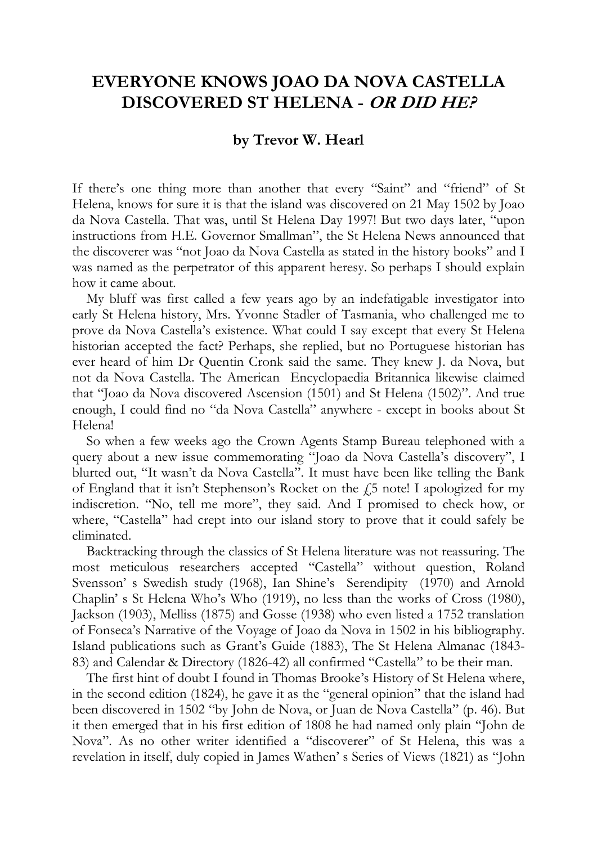## **EVERYONE KNOWS JOAO DA NOVA CASTELLA DISCOVERED ST HELENA - OR DID HE?**

## **by Trevor W. Hearl**

If there's one thing more than another that every "Saint" and "friend" of St Helena, knows for sure it is that the island was discovered on 21 May 1502 by Joao da Nova Castella. That was, until St Helena Day 1997! But two days later, "upon instructions from H.E. Governor Smallman", the St Helena News announced that the discoverer was "not Joao da Nova Castella as stated in the history books" and I was named as the perpetrator of this apparent heresy. So perhaps I should explain how it came about.

My bluff was first called a few years ago by an indefatigable investigator into early St Helena history, Mrs. Yvonne Stadler of Tasmania, who challenged me to prove da Nova Castella's existence. What could I say except that every St Helena historian accepted the fact? Perhaps, she replied, but no Portuguese historian has ever heard of him Dr Quentin Cronk said the same. They knew J. da Nova, but not da Nova Castella. The American Encyclopaedia Britannica likewise claimed that "Joao da Nova discovered Ascension (1501) and St Helena (1502)". And true enough, I could find no "da Nova Castella" anywhere - except in books about St Helena!

So when a few weeks ago the Crown Agents Stamp Bureau telephoned with a query about a new issue commemorating "Joao da Nova Castella's discovery", I blurted out, "It wasn't da Nova Castella". It must have been like telling the Bank of England that it isn't Stephenson's Rocket on the  $\sqrt{25}$  note! I apologized for my indiscretion. "No, tell me more", they said. And I promised to check how, or where, "Castella" had crept into our island story to prove that it could safely be eliminated.

Backtracking through the classics of St Helena literature was not reassuring. The most meticulous researchers accepted "Castella" without question, Roland Svensson' s Swedish study (1968), Ian Shine's Serendipity (1970) and Arnold Chaplin' s St Helena Who's Who (1919), no less than the works of Cross (1980), Jackson (1903), Melliss (1875) and Gosse (1938) who even listed a 1752 translation of Fonseca's Narrative of the Voyage of Joao da Nova in 1502 in his bibliography. Island publications such as Grant's Guide (1883), The St Helena Almanac (1843- 83) and Calendar & Directory (1826-42) all confirmed "Castella" to be their man.

The first hint of doubt I found in Thomas Brooke's History of St Helena where, in the second edition (1824), he gave it as the "general opinion" that the island had been discovered in 1502 "by John de Nova, or Juan de Nova Castella" (p. 46). But it then emerged that in his first edition of 1808 he had named only plain "John de Nova". As no other writer identified a "discoverer" of St Helena, this was a revelation in itself, duly copied in James Wathen' s Series of Views (1821) as "John